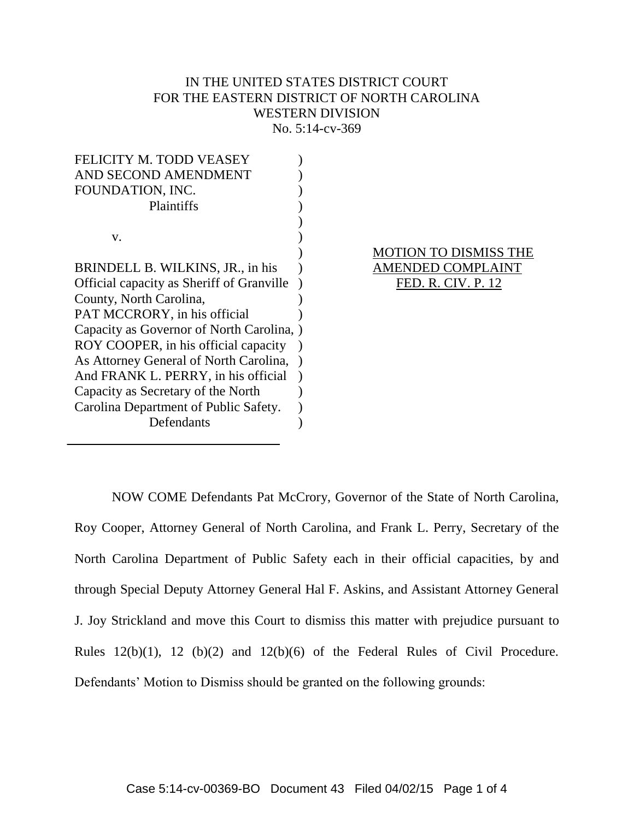# IN THE UNITED STATES DISTRICT COURT FOR THE EASTERN DISTRICT OF NORTH CAROLINA WESTERN DIVISION No. 5:14-cv-369

| <b>FELICITY M. TODD VEASEY</b>            |  |
|-------------------------------------------|--|
| AND SECOND AMENDMENT                      |  |
| FOUNDATION, INC.                          |  |
| Plaintiffs                                |  |
|                                           |  |
| v.                                        |  |
|                                           |  |
| BRINDELL B. WILKINS, JR., in his          |  |
| Official capacity as Sheriff of Granville |  |
| County, North Carolina,                   |  |
| PAT MCCRORY, in his official              |  |
| Capacity as Governor of North Carolina,   |  |
| ROY COOPER, in his official capacity      |  |
| As Attorney General of North Carolina,    |  |
| And FRANK L. PERRY, in his official       |  |
| Capacity as Secretary of the North        |  |
| Carolina Department of Public Safety.     |  |
| Defendants                                |  |

# MOTION TO DISMISS THE AMENDED COMPLAINT FED. R. CIV. P. 12

NOW COME Defendants Pat McCrory, Governor of the State of North Carolina, Roy Cooper, Attorney General of North Carolina, and Frank L. Perry, Secretary of the North Carolina Department of Public Safety each in their official capacities, by and through Special Deputy Attorney General Hal F. Askins, and Assistant Attorney General J. Joy Strickland and move this Court to dismiss this matter with prejudice pursuant to Rules 12(b)(1), 12 (b)(2) and 12(b)(6) of the Federal Rules of Civil Procedure. Defendants' Motion to Dismiss should be granted on the following grounds: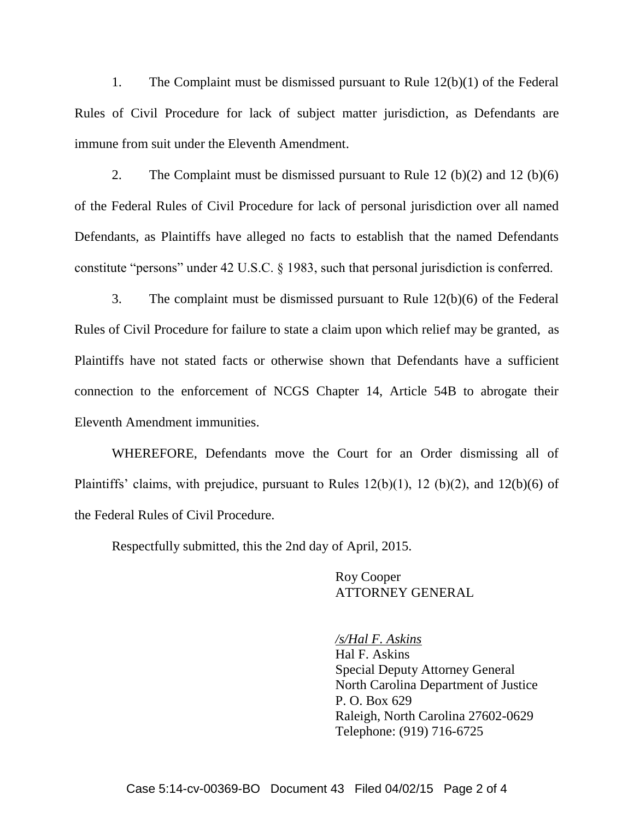1. The Complaint must be dismissed pursuant to Rule 12(b)(1) of the Federal Rules of Civil Procedure for lack of subject matter jurisdiction, as Defendants are immune from suit under the Eleventh Amendment.

2. The Complaint must be dismissed pursuant to Rule 12 (b)(2) and 12 (b)(6) of the Federal Rules of Civil Procedure for lack of personal jurisdiction over all named Defendants, as Plaintiffs have alleged no facts to establish that the named Defendants constitute "persons" under 42 U.S.C. § 1983, such that personal jurisdiction is conferred.

3. The complaint must be dismissed pursuant to Rule 12(b)(6) of the Federal Rules of Civil Procedure for failure to state a claim upon which relief may be granted, as Plaintiffs have not stated facts or otherwise shown that Defendants have a sufficient connection to the enforcement of NCGS Chapter 14, Article 54B to abrogate their Eleventh Amendment immunities.

WHEREFORE, Defendants move the Court for an Order dismissing all of Plaintiffs' claims, with prejudice, pursuant to Rules 12(b)(1), 12 (b)(2), and 12(b)(6) of the Federal Rules of Civil Procedure.

Respectfully submitted, this the 2nd day of April, 2015.

# Roy Cooper ATTORNEY GENERAL

*/s/Hal F. Askins* Hal F. Askins Special Deputy Attorney General North Carolina Department of Justice P. O. Box 629 Raleigh, North Carolina 27602-0629 Telephone: (919) 716-6725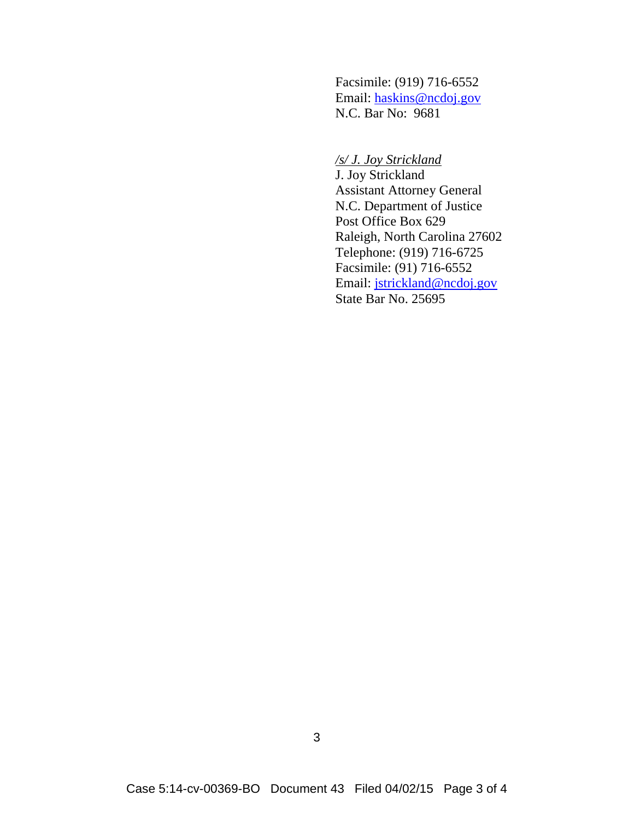Facsimile: (919) 716-6552 Email: haskins@ncdoj.gov N.C. Bar No: 9681

# */s/ J. Joy Strickland*

J. Joy Strickland Assistant Attorney General N.C. Department of Justice Post Office Box 629 Raleigh, North Carolina 27602 Telephone: (919) 716-6725 Facsimile: (91) 716-6552 Email: jstrickland@ncdoj.gov State Bar No. 25695